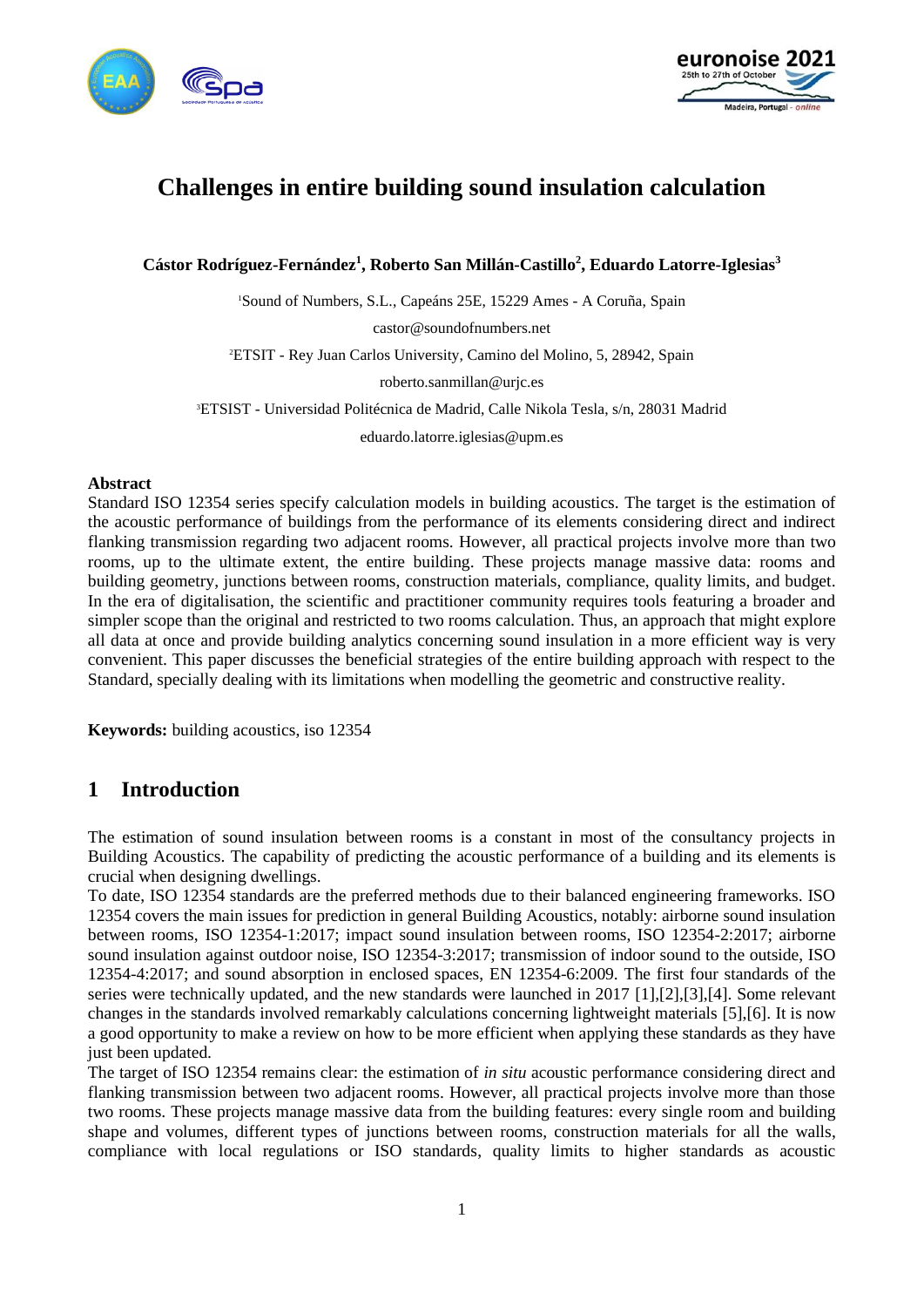



# **Challenges in entire building sound insulation calculation**

**Cástor Rodríguez-Fernández<sup>1</sup> , Roberto San Millán-Castillo<sup>2</sup> , Eduardo Latorre-Iglesias<sup>3</sup>**

<sup>1</sup>Sound of Numbers, S.L., Capeáns 25E, 15229 Ames - A Coruña, Spain castor@soundofnumbers.net <sup>2</sup>ETSIT - Rey Juan Carlos University, Camino del Molino, 5, 28942, Spain roberto.sanmillan@urjc.es <sup>3</sup>ETSIST - Universidad Politécnica de Madrid, Calle Nikola Tesla, s/n, 28031 Madrid

eduardo.latorre.iglesias@upm.es

#### **Abstract**

Standard ISO 12354 series specify calculation models in building acoustics. The target is the estimation of the acoustic performance of buildings from the performance of its elements considering direct and indirect flanking transmission regarding two adjacent rooms. However, all practical projects involve more than two rooms, up to the ultimate extent, the entire building. These projects manage massive data: rooms and building geometry, junctions between rooms, construction materials, compliance, quality limits, and budget. In the era of digitalisation, the scientific and practitioner community requires tools featuring a broader and simpler scope than the original and restricted to two rooms calculation. Thus, an approach that might explore all data at once and provide building analytics concerning sound insulation in a more efficient way is very convenient. This paper discusses the beneficial strategies of the entire building approach with respect to the Standard, specially dealing with its limitations when modelling the geometric and constructive reality.

**Keywords:** building acoustics, iso 12354

## **1 Introduction**

The estimation of sound insulation between rooms is a constant in most of the consultancy projects in Building Acoustics. The capability of predicting the acoustic performance of a building and its elements is crucial when designing dwellings.

To date, ISO 12354 standards are the preferred methods due to their balanced engineering frameworks. ISO 12354 covers the main issues for prediction in general Building Acoustics, notably: airborne sound insulation between rooms, ISO 12354-1:2017; impact sound insulation between rooms, ISO 12354-2:2017; airborne sound insulation against outdoor noise, ISO 12354-3:2017; transmission of indoor sound to the outside, ISO 12354-4:2017; and sound absorption in enclosed spaces, EN 12354-6:2009. The first four standards of the series were technically updated, and the new standards were launched in 2017 [\[1\]](#page-6-0)[,\[2\]](#page-6-1)[,\[3\]](#page-6-2)[,\[4\].](#page-6-3) Some relevant changes in the standards involved remarkably calculations concerning lightweight materials [\[5\],](#page-6-4)[\[6\].](#page-6-5) It is now a good opportunity to make a review on how to be more efficient when applying these standards as they have just been updated.

The target of ISO 12354 remains clear: the estimation of *in situ* acoustic performance considering direct and flanking transmission between two adjacent rooms. However, all practical projects involve more than those two rooms. These projects manage massive data from the building features: every single room and building shape and volumes, different types of junctions between rooms, construction materials for all the walls, compliance with local regulations or ISO standards, quality limits to higher standards as acoustic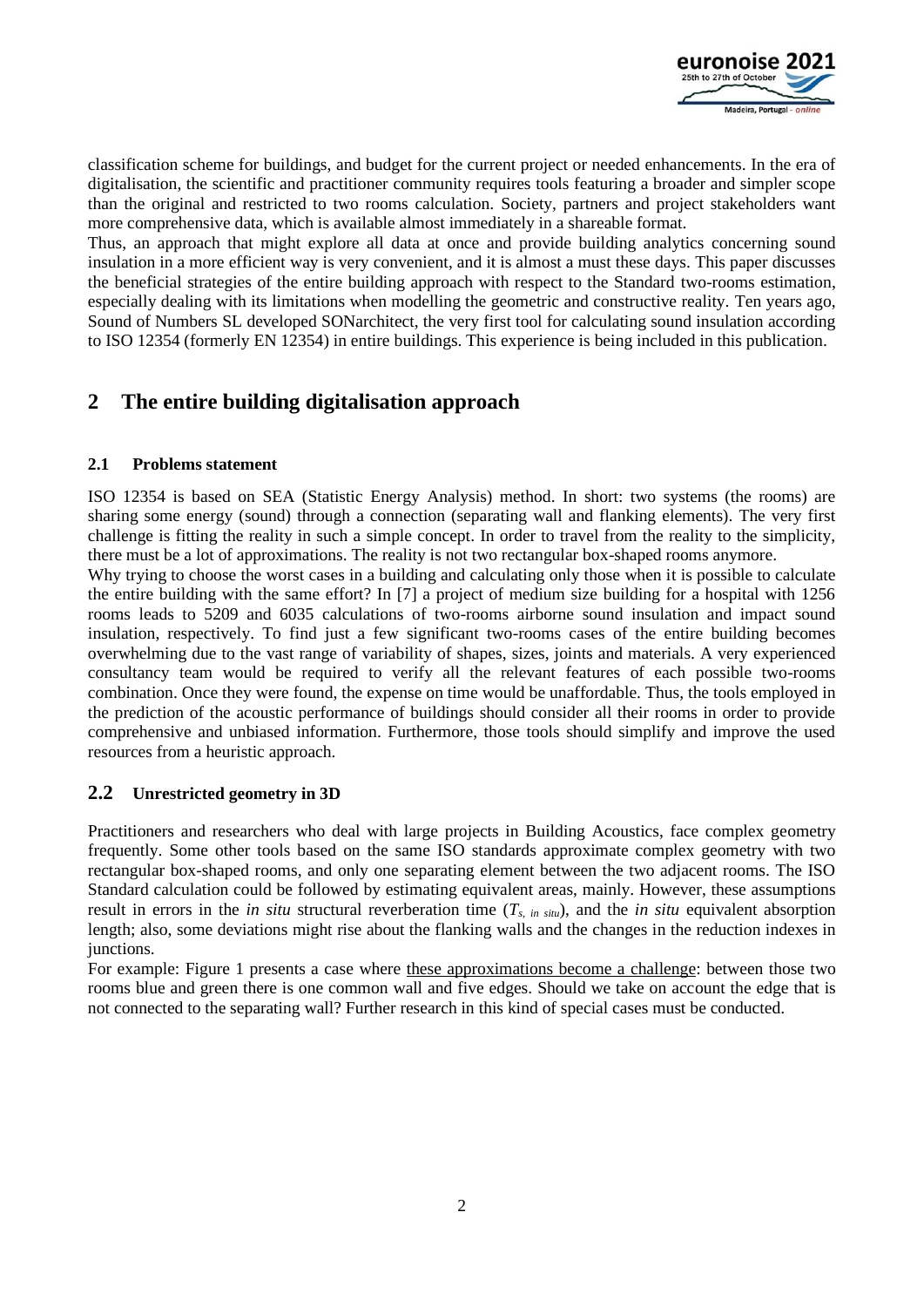

classification scheme for buildings, and budget for the current project or needed enhancements. In the era of digitalisation, the scientific and practitioner community requires tools featuring a broader and simpler scope than the original and restricted to two rooms calculation. Society, partners and project stakeholders want more comprehensive data, which is available almost immediately in a shareable format.

Thus, an approach that might explore all data at once and provide building analytics concerning sound insulation in a more efficient way is very convenient, and it is almost a must these days. This paper discusses the beneficial strategies of the entire building approach with respect to the Standard two-rooms estimation, especially dealing with its limitations when modelling the geometric and constructive reality. Ten years ago, Sound of Numbers SL developed SONarchitect, the very first tool for calculating sound insulation according to ISO 12354 (formerly EN 12354) in entire buildings. This experience is being included in this publication.

# **2 The entire building digitalisation approach**

#### **2.1 Problems statement**

ISO 12354 is based on SEA (Statistic Energy Analysis) method. In short: two systems (the rooms) are sharing some energy (sound) through a connection (separating wall and flanking elements). The very first challenge is fitting the reality in such a simple concept. In order to travel from the reality to the simplicity, there must be a lot of approximations. The reality is not two rectangular box-shaped rooms anymore.

Why trying to choose the worst cases in a building and calculating only those when it is possible to calculate the entire building with the same effort? In [7] a project of medium size building for a hospital with 1256 rooms leads to 5209 and 6035 calculations of two-rooms airborne sound insulation and impact sound insulation, respectively. To find just a few significant two-rooms cases of the entire building becomes overwhelming due to the vast range of variability of shapes, sizes, joints and materials. A very experienced consultancy team would be required to verify all the relevant features of each possible two-rooms combination. Once they were found, the expense on time would be unaffordable. Thus, the tools employed in the prediction of the acoustic performance of buildings should consider all their rooms in order to provide comprehensive and unbiased information. Furthermore, those tools should simplify and improve the used resources from a heuristic approach.

### **2.2 Unrestricted geometry in 3D**

Practitioners and researchers who deal with large projects in Building Acoustics, face complex geometry frequently. Some other tools based on the same ISO standards approximate complex geometry with two rectangular box-shaped rooms, and only one separating element between the two adjacent rooms. The ISO Standard calculation could be followed by estimating equivalent areas, mainly. However, these assumptions result in errors in the *in situ* structural reverberation time  $(T_{s, in situ})$ , and the *in situ* equivalent absorption length; also, some deviations might rise about the flanking walls and the changes in the reduction indexes in junctions.

For example: [Figure 1](#page-2-0) presents a case where these approximations become a challenge: between those two rooms blue and green there is one common wall and five edges. Should we take on account the edge that is not connected to the separating wall? Further research in this kind of special cases must be conducted.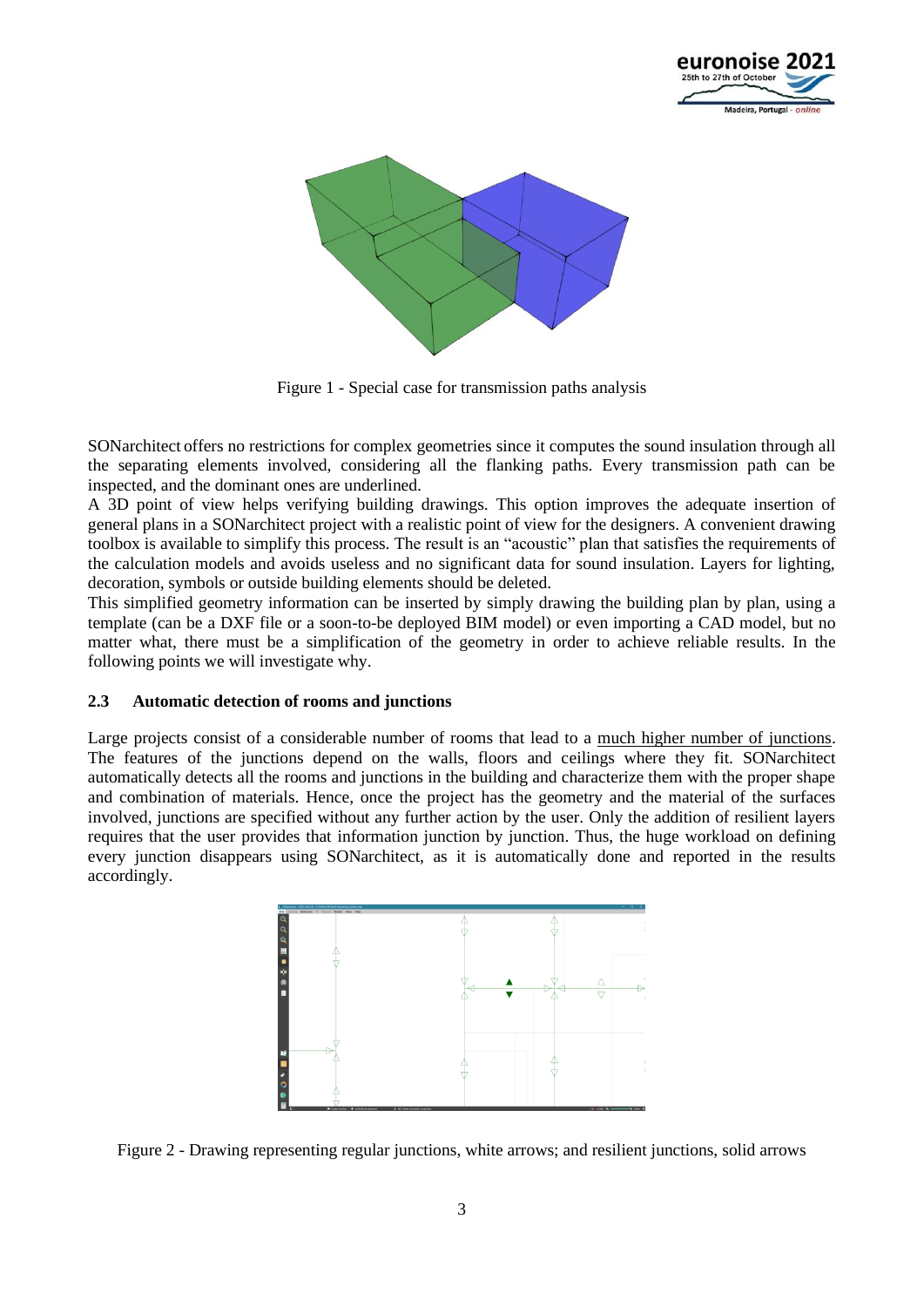



Figure 1 - Special case for transmission paths analysis

<span id="page-2-0"></span>SONarchitect offers no restrictions for complex geometries since it computes the sound insulation through all the separating elements involved, considering all the flanking paths. Every transmission path can be inspected, and the dominant ones are underlined.

A 3D point of view helps verifying building drawings. This option improves the adequate insertion of general plans in a SONarchitect project with a realistic point of view for the designers. A convenient drawing toolbox is available to simplify this process. The result is an "acoustic" plan that satisfies the requirements of the calculation models and avoids useless and no significant data for sound insulation. Layers for lighting, decoration, symbols or outside building elements should be deleted.

This simplified geometry information can be inserted by simply drawing the building plan by plan, using a template (can be a DXF file or a soon-to-be deployed BIM model) or even importing a CAD model, but no matter what, there must be a simplification of the geometry in order to achieve reliable results. In the following points we will investigate why.

#### **2.3 Automatic detection of rooms and junctions**

Large projects consist of a considerable number of rooms that lead to a much higher number of junctions. The features of the junctions depend on the walls, floors and ceilings where they fit. SONarchitect automatically detects all the rooms and junctions in the building and characterize them with the proper shape and combination of materials. Hence, once the project has the geometry and the material of the surfaces involved, junctions are specified without any further action by the user. Only the addition of resilient layers requires that the user provides that information junction by junction. Thus, the huge workload on defining every junction disappears using SONarchitect, as it is automatically done and reported in the results accordingly.



Figure 2 - Drawing representing regular junctions, white arrows; and resilient junctions, solid arrows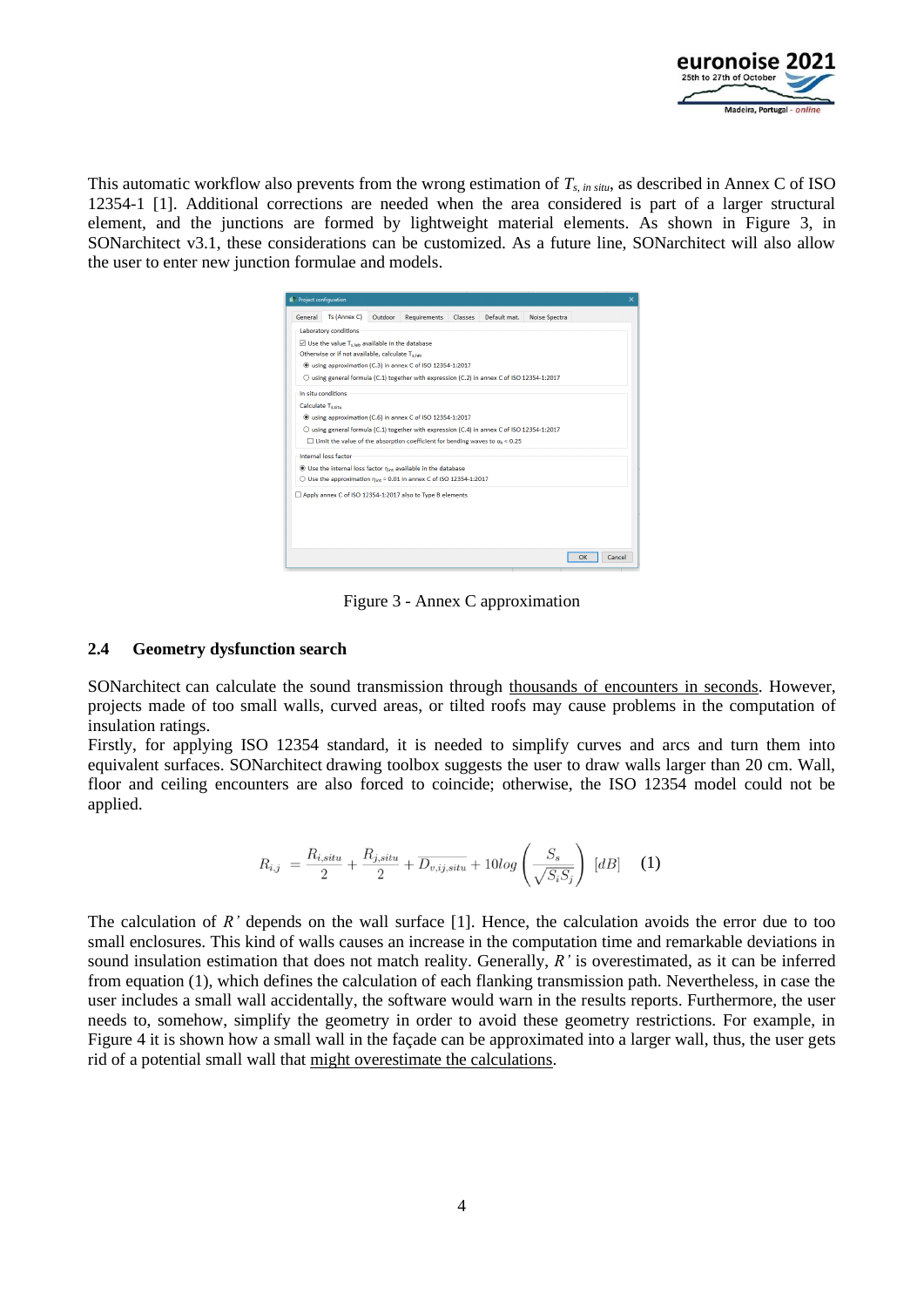

This automatic workflow also prevents from the wrong estimation of *Ts, in situ*, as described in Annex C of ISO 12354-1 [\[1\].](#page-6-0) Additional corrections are needed when the area considered is part of a larger structural element, and the junctions are formed by lightweight material elements. As shown in [Figure 3,](#page-3-0) in SONarchitect v3.1, these considerations can be customized. As a future line, SONarchitect will also allow the user to enter new junction formulae and models.

| Project configuration<br>$\times$                                                                                                                                 |                      |         |                                                                                             |         |              |                      |    |        |
|-------------------------------------------------------------------------------------------------------------------------------------------------------------------|----------------------|---------|---------------------------------------------------------------------------------------------|---------|--------------|----------------------|----|--------|
| General                                                                                                                                                           | Ts (Annex C)         | Outdoor | <b>Requirements</b>                                                                         | Classes | Default mat. | <b>Noise Spectra</b> |    |        |
| <b>Laboratory conditions</b>                                                                                                                                      |                      |         |                                                                                             |         |              |                      |    |        |
| $\vee$ Use the value T <sub>s lab</sub> available in the database                                                                                                 |                      |         |                                                                                             |         |              |                      |    |        |
| Otherwise or if not available, calculate T <sub>5.lab</sub><br>@ using approximation (C.3) in annex C of ISO 12354-1:2017                                         |                      |         |                                                                                             |         |              |                      |    |        |
| O using general formula (C.1) together with expression (C.2) in annex C of ISO 12354-1:2017                                                                       |                      |         |                                                                                             |         |              |                      |    |        |
| In situ conditions                                                                                                                                                |                      |         |                                                                                             |         |              |                      |    |        |
| Calculate Ts, situ                                                                                                                                                |                      |         |                                                                                             |         |              |                      |    |        |
| @ using approximation (C.6) in annex C of ISO 12354-1:2017                                                                                                        |                      |         |                                                                                             |         |              |                      |    |        |
| $\circlearrowright$ using general formula (C.1) together with expression (C.4) in annex C of ISO 12354-1:2017                                                     |                      |         |                                                                                             |         |              |                      |    |        |
|                                                                                                                                                                   |                      |         | $\Box$ Limit the value of the absorption coefficient for bending waves to $\alpha_k$ < 0.25 |         |              |                      |    |        |
|                                                                                                                                                                   | Internal loss factor |         |                                                                                             |         |              |                      |    |        |
| $\bullet$ Use the internal loss factor $\eta_{int}$ available in the database<br>$\circ$ Use the approximation $\eta_{int}$ = 0.01 in annex C of ISO 12354-1:2017 |                      |         |                                                                                             |         |              |                      |    |        |
|                                                                                                                                                                   |                      |         |                                                                                             |         |              |                      |    |        |
|                                                                                                                                                                   |                      |         | Apply annex C of ISO 12354-1:2017 also to Type B elements                                   |         |              |                      |    |        |
|                                                                                                                                                                   |                      |         |                                                                                             |         |              |                      |    |        |
|                                                                                                                                                                   |                      |         |                                                                                             |         |              |                      |    |        |
|                                                                                                                                                                   |                      |         |                                                                                             |         |              |                      |    |        |
|                                                                                                                                                                   |                      |         |                                                                                             |         |              |                      | OK | Cancel |

Figure 3 - Annex C approximation

#### <span id="page-3-0"></span>**2.4 Geometry dysfunction search**

SONarchitect can calculate the sound transmission through thousands of encounters in seconds. However, projects made of too small walls, curved areas, or tilted roofs may cause problems in the computation of insulation ratings.

Firstly, for applying ISO 12354 standard, it is needed to simplify curves and arcs and turn them into equivalent surfaces. SONarchitect drawing toolbox suggests the user to draw walls larger than 20 cm. Wall, floor and ceiling encounters are also forced to coincide; otherwise, the ISO 12354 model could not be applied.

$$
R_{i,j} = \frac{R_{i,situ}}{2} + \frac{R_{j,situ}}{2} + \overline{D_{v,ij,situ}} + 10log\left(\frac{S_s}{\sqrt{S_i S_j}}\right) \ [dB] \tag{1}
$$

The calculation of *R'* depends on the wall surface [\[1\].](#page-6-0) Hence, the calculation avoids the error due to too small enclosures. This kind of walls causes an increase in the computation time and remarkable deviations in sound insulation estimation that does not match reality. Generally, *R'* is overestimated, as it can be inferred from equation (1), which defines the calculation of each flanking transmission path. Nevertheless, in case the user includes a small wall accidentally, the software would warn in the results reports. Furthermore, the user needs to, somehow, simplify the geometry in order to avoid these geometry restrictions. For example, in [Figure 4](#page-4-0) it is shown how a small wall in the façade can be approximated into a larger wall, thus, the user gets rid of a potential small wall that might overestimate the calculations.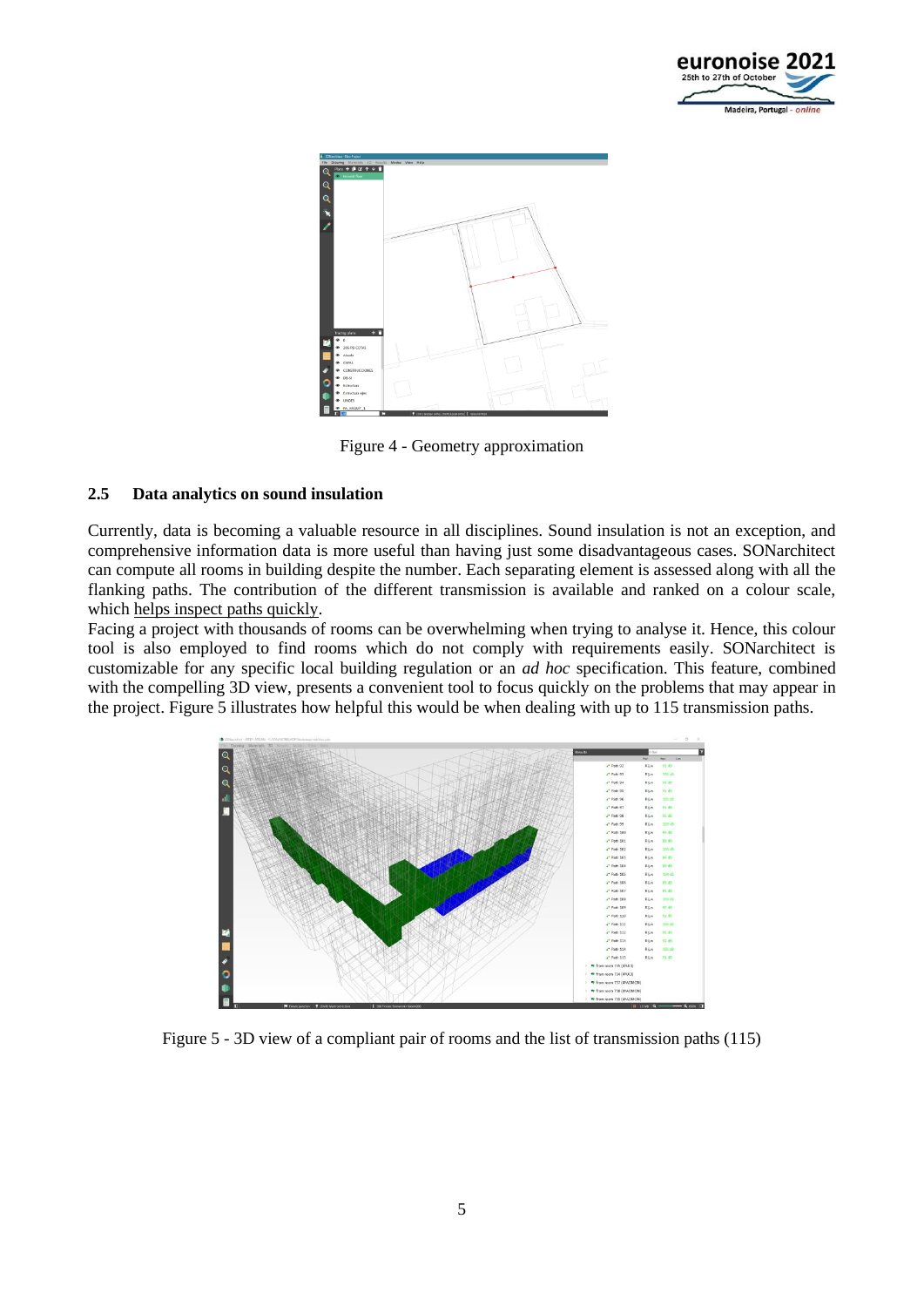



Figure 4 - Geometry approximation

#### <span id="page-4-0"></span>**2.5 Data analytics on sound insulation**

Currently, data is becoming a valuable resource in all disciplines. Sound insulation is not an exception, and comprehensive information data is more useful than having just some disadvantageous cases. SONarchitect can compute all rooms in building despite the number. Each separating element is assessed along with all the flanking paths. The contribution of the different transmission is available and ranked on a colour scale, which helps inspect paths quickly.

Facing a project with thousands of rooms can be overwhelming when trying to analyse it. Hence, this colour tool is also employed to find rooms which do not comply with requirements easily. SONarchitect is customizable for any specific local building regulation or an *ad hoc* specification. This feature, combined with the compelling 3D view, presents a convenient tool to focus quickly on the problems that may appear in the project. [Figure 5](#page-4-1) illustrates how helpful this would be when dealing with up to 115 transmission paths.



<span id="page-4-1"></span>Figure 5 - 3D view of a compliant pair of rooms and the list of transmission paths (115)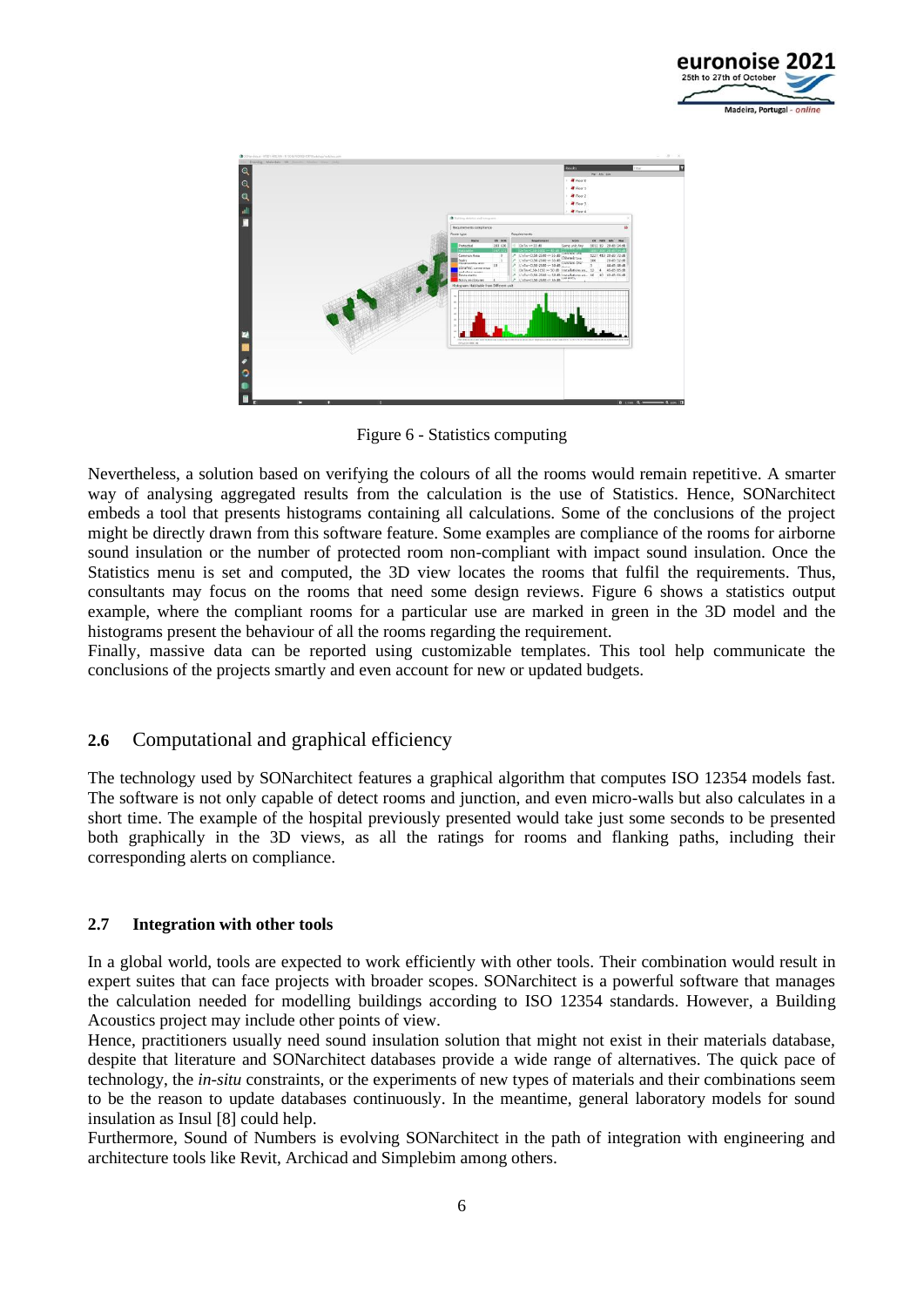



Figure 6 - Statistics computing

<span id="page-5-0"></span>Nevertheless, a solution based on verifying the colours of all the rooms would remain repetitive. A smarter way of analysing aggregated results from the calculation is the use of Statistics. Hence, SONarchitect embeds a tool that presents histograms containing all calculations. Some of the conclusions of the project might be directly drawn from this software feature. Some examples are compliance of the rooms for airborne sound insulation or the number of protected room non-compliant with impact sound insulation. Once the Statistics menu is set and computed, the 3D view locates the rooms that fulfil the requirements. Thus, consultants may focus on the rooms that need some design reviews. [Figure 6](#page-5-0) shows a statistics output example, where the compliant rooms for a particular use are marked in green in the 3D model and the histograms present the behaviour of all the rooms regarding the requirement.

Finally, massive data can be reported using customizable templates. This tool help communicate the conclusions of the projects smartly and even account for new or updated budgets.

### **2.6** Computational and graphical efficiency

The technology used by SONarchitect features a graphical algorithm that computes ISO 12354 models fast. The software is not only capable of detect rooms and junction, and even micro-walls but also calculates in a short time. The example of the hospital previously presented would take just some seconds to be presented both graphically in the 3D views, as all the ratings for rooms and flanking paths, including their corresponding alerts on compliance.

### **2.7 Integration with other tools**

In a global world, tools are expected to work efficiently with other tools. Their combination would result in expert suites that can face projects with broader scopes. SONarchitect is a powerful software that manages the calculation needed for modelling buildings according to ISO 12354 standards. However, a Building Acoustics project may include other points of view.

Hence, practitioners usually need sound insulation solution that might not exist in their materials database, despite that literature and SONarchitect databases provide a wide range of alternatives. The quick pace of technology, the *in-situ* constraints, or the experiments of new types of materials and their combinations seem to be the reason to update databases continuously. In the meantime, general laboratory models for sound insulation as Insul [\[8\]](#page-6-6) could help.

Furthermore, Sound of Numbers is evolving SONarchitect in the path of integration with engineering and architecture tools like Revit, Archicad and Simplebim among others.